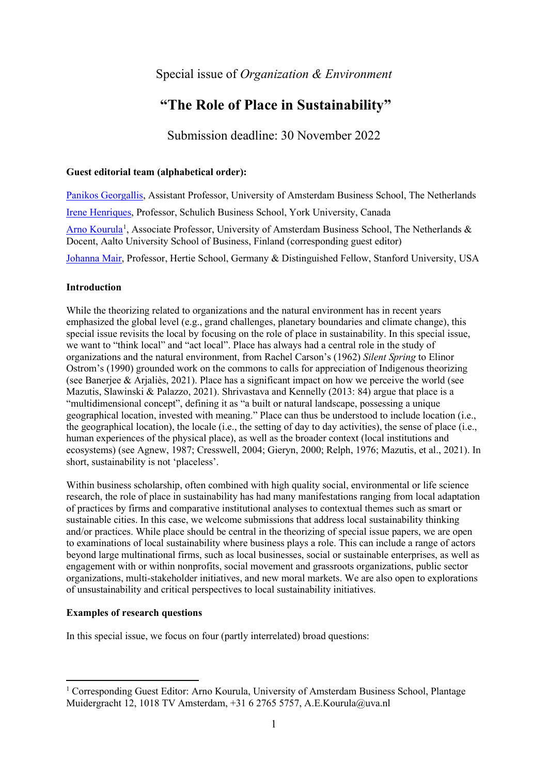## Special issue of *Organization & Environment*

# **"The Role of Place in Sustainability"**

Submission deadline: 30 November 2022

## **Guest editorial team (alphabetical order):**

[Panikos Georgallis,](https://www.uva.nl/profiel/g/e/p.georgallis/p.georgallis.html) Assistant Professor, University of Amsterdam Business School, The Netherlands [Irene Henriques,](https://schulich.yorku.ca/faculty/irene-henriques/) Professor, Schulich Business School, York University, Canada [Arno Kourula](https://www.uva.nl/en/profile/k/o/a.e.kourula/a.e.kourula.html)<sup>[1](#page-0-0)</sup>, Associate Professor, University of Amsterdam Business School, The Netherlands & Docent, Aalto University School of Business, Finland (corresponding guest editor)

[Johanna Mair,](https://www.hertie-school.org/en/research/faculty-and-researchers/profile/person/mair) Professor, Hertie School, Germany & Distinguished Fellow, Stanford University, USA

## **Introduction**

While the theorizing related to organizations and the natural environment has in recent years emphasized the global level (e.g., grand challenges, planetary boundaries and climate change), this special issue revisits the local by focusing on the role of place in sustainability. In this special issue, we want to "think local" and "act local". Place has always had a central role in the study of organizations and the natural environment, from Rachel Carson's (1962) *Silent Spring* to Elinor Ostrom's (1990) grounded work on the commons to calls for appreciation of Indigenous theorizing (see Banerjee & Arjaliès, 2021). Place has a significant impact on how we perceive the world (see Mazutis, Slawinski & Palazzo, 2021). Shrivastava and Kennelly (2013: 84) argue that place is a "multidimensional concept", defining it as "a built or natural landscape, possessing a unique geographical location, invested with meaning." Place can thus be understood to include location (i.e., the geographical location), the locale (i.e., the setting of day to day activities), the sense of place (i.e., human experiences of the physical place), as well as the broader context (local institutions and ecosystems) (see Agnew, 1987; Cresswell, 2004; Gieryn, 2000; Relph, 1976; Mazutis, et al., 2021). In short, sustainability is not 'placeless'.

Within business scholarship, often combined with high quality social, environmental or life science research, the role of place in sustainability has had many manifestations ranging from local adaptation of practices by firms and comparative institutional analyses to contextual themes such as smart or sustainable cities. In this case, we welcome submissions that address local sustainability thinking and/or practices. While place should be central in the theorizing of special issue papers, we are open to examinations of local sustainability where business plays a role. This can include a range of actors beyond large multinational firms, such as local businesses, social or sustainable enterprises, as well as engagement with or within nonprofits, social movement and grassroots organizations, public sector organizations, multi-stakeholder initiatives, and new moral markets. We are also open to explorations of unsustainability and critical perspectives to local sustainability initiatives.

## **Examples of research questions**

In this special issue, we focus on four (partly interrelated) broad questions:

<span id="page-0-0"></span><sup>&</sup>lt;sup>1</sup> Corresponding Guest Editor: Arno Kourula, University of Amsterdam Business School, Plantage Muidergracht 12, 1018 TV Amsterdam, +31 6 2765 5757, A.E.Kourula@uva.nl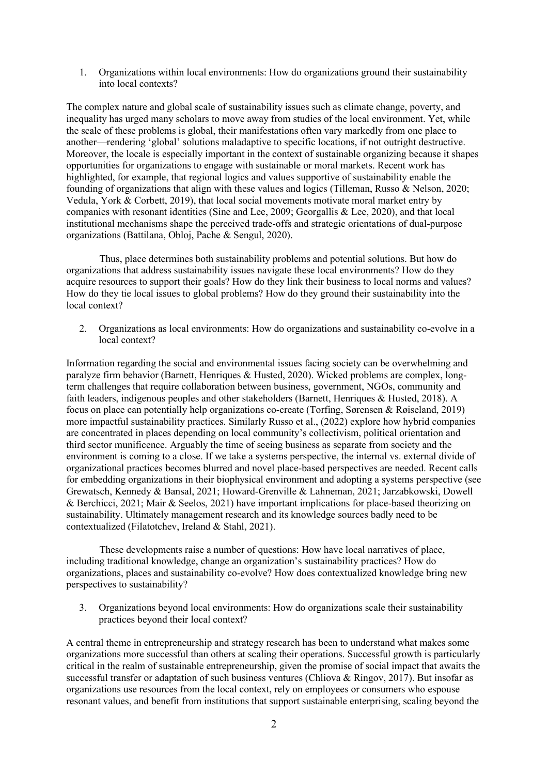1. Organizations within local environments: How do organizations ground their sustainability into local contexts?

The complex nature and global scale of sustainability issues such as climate change, poverty, and inequality has urged many scholars to move away from studies of the local environment. Yet, while the scale of these problems is global, their manifestations often vary markedly from one place to another—rendering 'global' solutions maladaptive to specific locations, if not outright destructive. Moreover, the locale is especially important in the context of sustainable organizing because it shapes opportunities for organizations to engage with sustainable or moral markets. Recent work has highlighted, for example, that regional logics and values supportive of sustainability enable the founding of organizations that align with these values and logics (Tilleman, Russo & Nelson, 2020; Vedula, York & Corbett, 2019), that local social movements motivate moral market entry by companies with resonant identities (Sine and Lee, 2009; Georgallis & Lee, 2020), and that local institutional mechanisms shape the perceived trade-offs and strategic orientations of dual-purpose organizations (Battilana, Obloj, Pache & Sengul, 2020).

Thus, place determines both sustainability problems and potential solutions. But how do organizations that address sustainability issues navigate these local environments? How do they acquire resources to support their goals? How do they link their business to local norms and values? How do they tie local issues to global problems? How do they ground their sustainability into the local context?

2. Organizations as local environments: How do organizations and sustainability co-evolve in a local context?

Information regarding the social and environmental issues facing society can be overwhelming and paralyze firm behavior (Barnett, Henriques & Husted, 2020). Wicked problems are complex, longterm challenges that require collaboration between business, government, NGOs, community and faith leaders, indigenous peoples and other stakeholders (Barnett, Henriques & Husted, 2018). A focus on place can potentially help organizations co-create (Torfing, Sørensen & Røiseland, 2019) more impactful sustainability practices. Similarly Russo et al., (2022) explore how hybrid companies are concentrated in places depending on local community's collectivism, political orientation and third sector munificence. Arguably the time of seeing business as separate from society and the environment is coming to a close. If we take a systems perspective, the internal vs. external divide of organizational practices becomes blurred and novel place-based perspectives are needed. Recent calls for embedding organizations in their biophysical environment and adopting a systems perspective (see Grewatsch, Kennedy & Bansal, 2021; Howard-Grenville & Lahneman, 2021; Jarzabkowski, Dowell & Berchicci, 2021; Mair & Seelos, 2021) have important implications for place-based theorizing on sustainability. Ultimately management research and its knowledge sources badly need to be contextualized (Filatotchev, Ireland & Stahl, 2021).

These developments raise a number of questions: How have local narratives of place, including traditional knowledge, change an organization's sustainability practices? How do organizations, places and sustainability co-evolve? How does contextualized knowledge bring new perspectives to sustainability?

3. Organizations beyond local environments: How do organizations scale their sustainability practices beyond their local context?

A central theme in entrepreneurship and strategy research has been to understand what makes some organizations more successful than others at scaling their operations. Successful growth is particularly critical in the realm of sustainable entrepreneurship, given the promise of social impact that awaits the successful transfer or adaptation of such business ventures (Chliova & Ringov, 2017). But insofar as organizations use resources from the local context, rely on employees or consumers who espouse resonant values, and benefit from institutions that support sustainable enterprising, scaling beyond the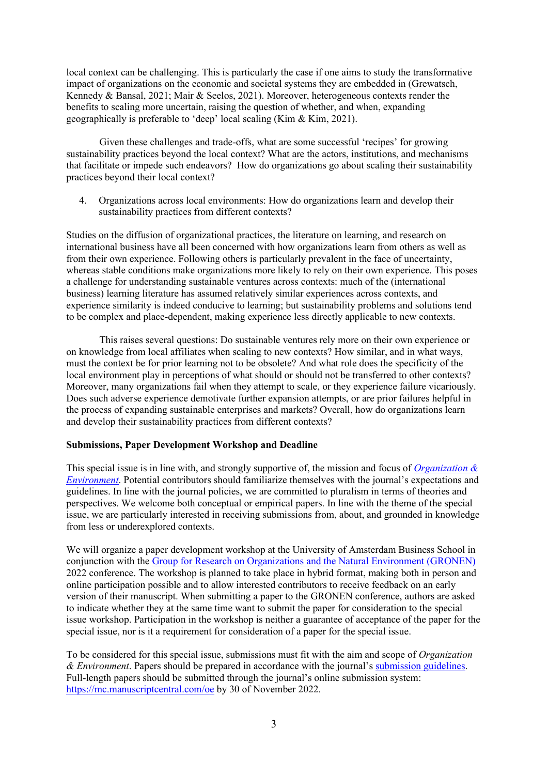local context can be challenging. This is particularly the case if one aims to study the transformative impact of organizations on the economic and societal systems they are embedded in (Grewatsch, Kennedy & Bansal, 2021; Mair & Seelos, 2021). Moreover, heterogeneous contexts render the benefits to scaling more uncertain, raising the question of whether, and when, expanding geographically is preferable to 'deep' local scaling (Kim & Kim, 2021).

Given these challenges and trade-offs, what are some successful 'recipes' for growing sustainability practices beyond the local context? What are the actors, institutions, and mechanisms that facilitate or impede such endeavors? How do organizations go about scaling their sustainability practices beyond their local context?

4. Organizations across local environments: How do organizations learn and develop their sustainability practices from different contexts?

Studies on the diffusion of organizational practices, the literature on learning, and research on international business have all been concerned with how organizations learn from others as well as from their own experience. Following others is particularly prevalent in the face of uncertainty, whereas stable conditions make organizations more likely to rely on their own experience. This poses a challenge for understanding sustainable ventures across contexts: much of the (international business) learning literature has assumed relatively similar experiences across contexts, and experience similarity is indeed conducive to learning; but sustainability problems and solutions tend to be complex and place-dependent, making experience less directly applicable to new contexts.

This raises several questions: Do sustainable ventures rely more on their own experience or on knowledge from local affiliates when scaling to new contexts? How similar, and in what ways, must the context be for prior learning not to be obsolete? And what role does the specificity of the local environment play in perceptions of what should or should not be transferred to other contexts? Moreover, many organizations fail when they attempt to scale, or they experience failure vicariously. Does such adverse experience demotivate further expansion attempts, or are prior failures helpful in the process of expanding sustainable enterprises and markets? Overall, how do organizations learn and develop their sustainability practices from different contexts?

### **Submissions, Paper Development Workshop and Deadline**

This special issue is in line with, and strongly supportive of, the mission and focus of *[Organization &](https://journals.sagepub.com/description/oae)  [Environment](https://journals.sagepub.com/description/oae)*. Potential contributors should familiarize themselves with the journal's expectations and guidelines. In line with the journal policies, we are committed to pluralism in terms of theories and perspectives. We welcome both conceptual or empirical papers. In line with the theme of the special issue, we are particularly interested in receiving submissions from, about, and grounded in knowledge from less or underexplored contexts.

We will organize a paper development workshop at the University of Amsterdam Business School in conjunction with the [Group for Research on Organizations and the Natural Environment \(GRONEN\)](http://www.gronenonline.com/_gronen1/) 2022 conference. The workshop is planned to take place in hybrid format, making both in person and online participation possible and to allow interested contributors to receive feedback on an early version of their manuscript. When submitting a paper to the GRONEN conference, authors are asked to indicate whether they at the same time want to submit the paper for consideration to the special issue workshop. Participation in the workshop is neither a guarantee of acceptance of the paper for the special issue, nor is it a requirement for consideration of a paper for the special issue.

To be considered for this special issue, submissions must fit with the aim and scope of *Organization & Environment*. Papers should be prepared in accordance with the journal's [submission guidelines.](https://journals.sagepub.com/author-instructions/OAE) Full-length papers should be submitted through the journal's online submission system: <https://mc.manuscriptcentral.com/oe> by 30 of November 2022.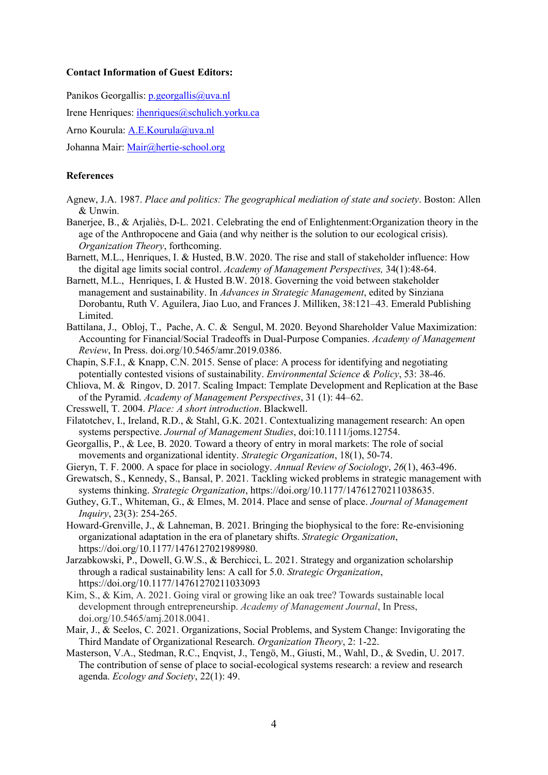#### **Contact Information of Guest Editors:**

Panikos Georgallis: [p.georgallis@uva.nl](mailto:p.georgallis@uva.nl)

Irene Henriques: [ihenriques@schulich.yorku.ca](mailto:ihenriques@schulich.yorku.ca)

Arno Kourula: [A.E.Kourula@uva.nl](mailto:A.E.Kourula@uva.nl)

Johanna Mair: [Mair@hertie-school.org](mailto:Mair@hertie-school.org)

## **References**

- Agnew, J.A. 1987. *Place and politics: The geographical mediation of state and society*. Boston: Allen & Unwin.
- Banerjee, B., & Arjaliès, D-L. 2021. Celebrating the end of Enlightenment:Organization theory in the age of the Anthropocene and Gaia (and why neither is the solution to our ecological crisis). *Organization Theory*, forthcoming.
- Barnett, M.L., Henriques, I. & Husted, B.W. 2020. The rise and stall of stakeholder influence: How the digital age limits social control. *Academy of Management Perspectives,* 34(1):48-64.
- Barnett, M.L., Henriques, I. & Husted B.W. 2018. Governing the void between stakeholder management and sustainability. In *Advances in Strategic Management*, edited by Sinziana Dorobantu, Ruth V. Aguilera, Jiao Luo, and Frances J. Milliken, 38:121–43. Emerald Publishing Limited.
- Battilana, J., Obloj, T., Pache, A. C. & Sengul, M. 2020. Beyond Shareholder Value Maximization: Accounting for Financial/Social Tradeoffs in Dual-Purpose Companies. *Academy of Management Review*, In Press. doi.org/10.5465/amr.2019.0386.
- Chapin, S.F.I., & Knapp, C.N. 2015. Sense of place: A process for identifying and negotiating potentially contested visions of sustainability. *Environmental Science & Policy*, 53: 38-46.
- Chliova, M. & Ringov, D. 2017. Scaling Impact: Template Development and Replication at the Base of the Pyramid. *Academy of Management Perspectives*, 31 (1): 44–62.
- Cresswell, T. 2004. *Place: A short introduction*. Blackwell.
- Filatotchev, I., Ireland, R.D., & Stahl, G.K. 2021. Contextualizing management research: An open systems perspective. *Journal of Management Studies*, doi:10.1111/joms.12754.
- Georgallis, P., & Lee, B. 2020. Toward a theory of entry in moral markets: The role of social movements and organizational identity. *Strategic Organization*, 18(1), 50-74.
- Gieryn, T. F. 2000. A space for place in sociology. *Annual Review of Sociology*, *26*(1), 463-496.
- Grewatsch, S., Kennedy, S., Bansal, P. 2021. Tackling wicked problems in strategic management with systems thinking. *Strategic Organization*, https://doi.org/10.1177/14761270211038635.
- Guthey, G.T., Whiteman, G., & Elmes, M. 2014. Place and sense of place. *Journal of Management Inquiry*, 23(3): 254-265.
- Howard-Grenville, J., & Lahneman, B. 2021. Bringing the biophysical to the fore: Re-envisioning organizational adaptation in the era of planetary shifts. *Strategic Organization*, https://doi.org/10.1177/1476127021989980.
- Jarzabkowski, P., Dowell, G.W.S., & Berchicci, L. 2021. Strategy and organization scholarship through a radical sustainability lens: A call for 5.0. *Strategic Organization*, https://doi.org/10.1177/14761270211033093
- Kim, S., & Kim, A. 2021. Going viral or growing like an oak tree? Towards sustainable local development through entrepreneurship. *Academy of Management Journal*, In Press, doi.org/10.5465/amj.2018.0041.
- Mair, J., & Seelos, C. 2021. Organizations, Social Problems, and System Change: Invigorating the Third Mandate of Organizational Research. *Organization Theory*, 2: 1-22.
- Masterson, V.A., Stedman, R.C., Enqvist, J., Tengö, M., Giusti, M., Wahl, D., & Svedin, U. 2017. The contribution of sense of place to social-ecological systems research: a review and research agenda. *Ecology and Society*, 22(1): 49.